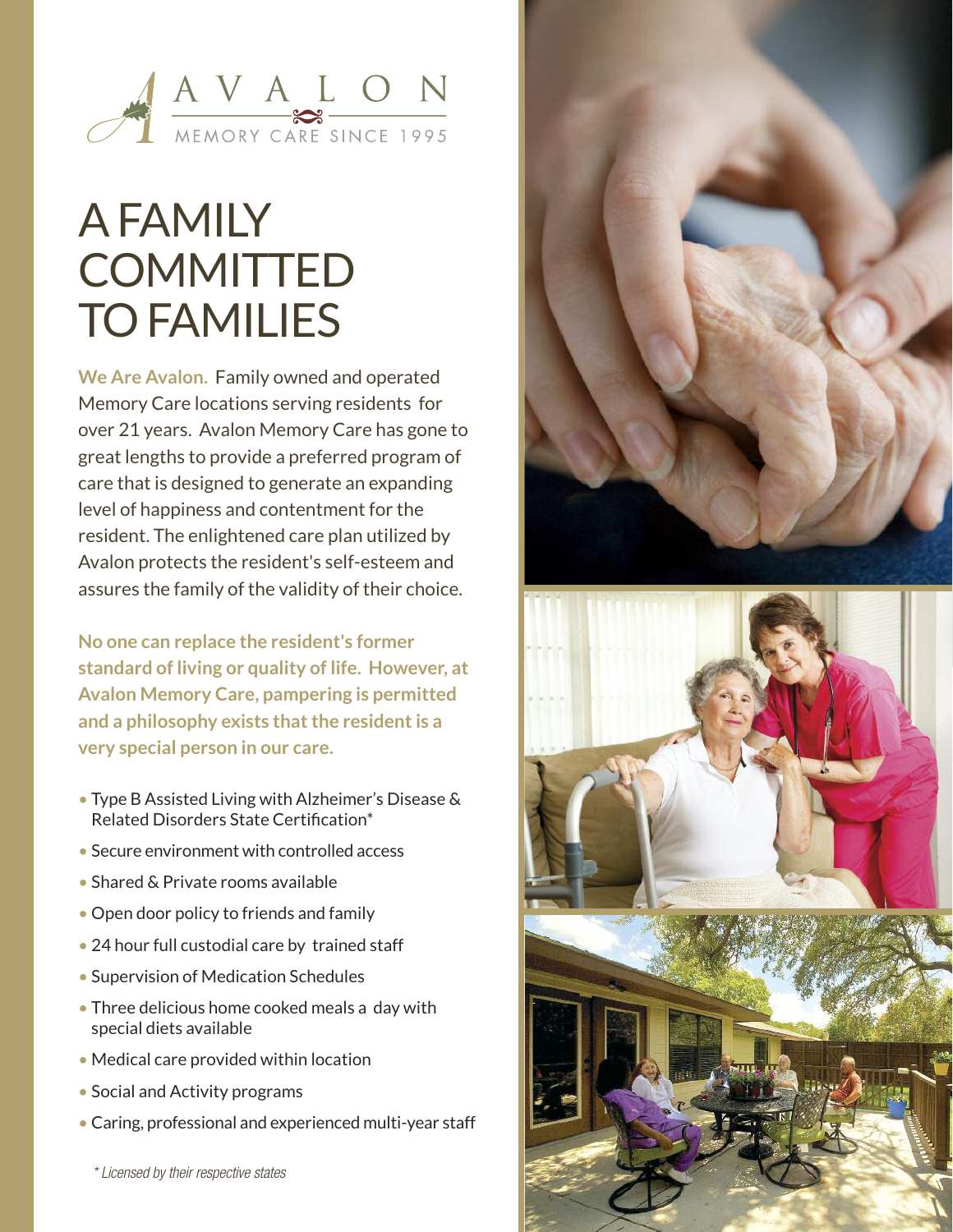

## **AFAMILY COMMITTED TO FAMILIES**

**We Are Avalon. Family owned and operated Memory Care locations serving residents for over 21 years. Avalon Memory Care has gone to great lengths to provide a preferred program of care that is designed to generate an expanding level of happiness and contentment for the resident. The enlightened care plan utilized by Avalon protects the resident's self-esteem and assures the family of the validity of their choice.**

**No one can replace the resident's former standard of living or quality of life. However, at Avalon Memory Care, pampering is permitted and a philosophy exists thatthe residentis a very special person in our care.**

- **• Type B Assisted Living with Alzheimer's Disease & Related Disorders State Certification\***
- **• Secure environment with controlled access**
- **• Shared & Private rooms available**
- **• Open door policy to friends and family**
- **• 24 hour full custodial care by trained staff**
- **• Supervision of Medication Schedules**
- **• Three delicious home cooked meals a day with special diets available**
- **• Medical care provided within location**
- **• Social and Activity programs**
- **• Caring, professional and experienced multi-year staff**